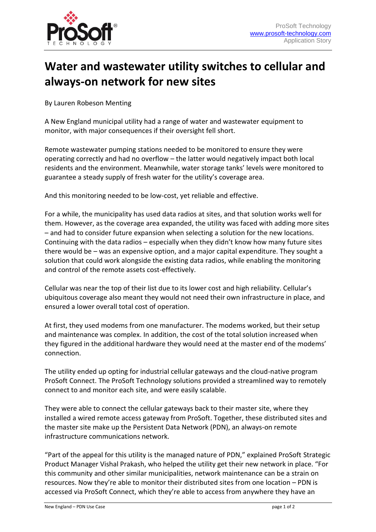

## **Water and wastewater utility switches to cellular and always-on network for new sites**

By Lauren Robeson Menting

A New England municipal utility had a range of water and wastewater equipment to monitor, with major consequences if their oversight fell short.

Remote wastewater pumping stations needed to be monitored to ensure they were operating correctly and had no overflow – the latter would negatively impact both local residents and the environment. Meanwhile, water storage tanks' levels were monitored to guarantee a steady supply of fresh water for the utility's coverage area.

And this monitoring needed to be low-cost, yet reliable and effective.

For a while, the municipality has used data radios at sites, and that solution works well for them. However, as the coverage area expanded, the utility was faced with adding more sites – and had to consider future expansion when selecting a solution for the new locations. Continuing with the data radios – especially when they didn't know how many future sites there would be – was an expensive option, and a major capital expenditure. They sought a solution that could work alongside the existing data radios, while enabling the monitoring and control of the remote assets cost-effectively.

Cellular was near the top of their list due to its lower cost and high reliability. Cellular's ubiquitous coverage also meant they would not need their own infrastructure in place, and ensured a lower overall total cost of operation.

At first, they used modems from one manufacturer. The modems worked, but their setup and maintenance was complex. In addition, the cost of the total solution increased when they figured in the additional hardware they would need at the master end of the modems' connection.

The utility ended up opting for industrial cellular gateways and the cloud-native program ProSoft Connect. The ProSoft Technology solutions provided a streamlined way to remotely connect to and monitor each site, and were easily scalable.

They were able to connect the cellular gateways back to their master site, where they installed a wired remote access gateway from ProSoft. Together, these distributed sites and the master site make up the Persistent Data Network (PDN), an always-on remote infrastructure communications network.

"Part of the appeal for this utility is the managed nature of PDN," explained ProSoft Strategic Product Manager Vishal Prakash, who helped the utility get their new network in place. "For this community and other similar municipalities, network maintenance can be a strain on resources. Now they're able to monitor their distributed sites from one location – PDN is accessed via ProSoft Connect, which they're able to access from anywhere they have an